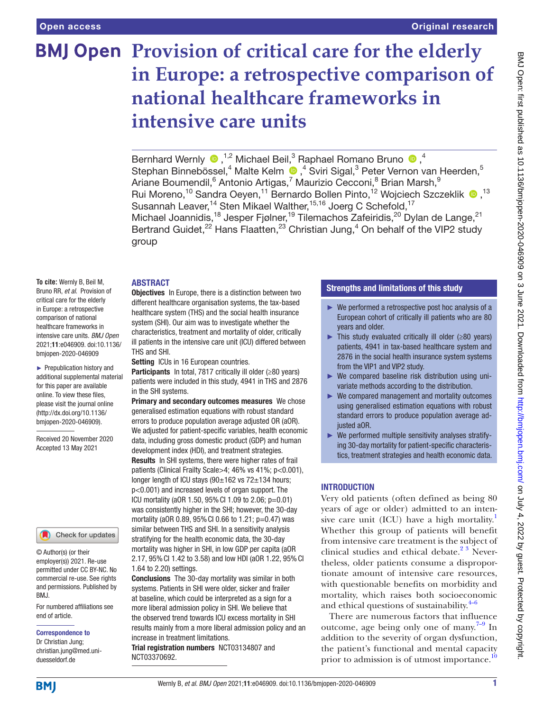# **BMJ Open Provision of critical care for the elderly in Europe: a retrospective comparison of national healthcare frameworks in intensive care units**

BernhardWernly  $\bullet$ ,<sup>1,2</sup> Michael Beil,<sup>3</sup> Raphael Romano Bruno  $\bullet$ ,<sup>4</sup> StephanBinnebössel,<sup>4</sup> Malte Kelm <sup>®</sup>,<sup>4</sup> Sviri Sigal,<sup>3</sup> Peter Vernon van Heerden,<sup>5</sup> Ariane Boumendil, <sup>6</sup> Antonio Artigas, <sup>7</sup> Maurizio Cecconi, <sup>8</sup> Brian Marsh, <sup>9</sup> Rui Moreno,<sup>10</sup> Sandra Oeyen,<sup>11</sup> Bernardo Bollen Pinto,<sup>12</sup> Wojciech Szczeklik <sup>13</sup> Susannah Leaver,<sup>14</sup> Sten Mikael Walther,<sup>15,16</sup> Joerg C Schefold,<sup>17</sup> Michael Joannidis,<sup>18</sup> Jesper Fjølner,<sup>19</sup> Tilemachos Zafeiridis,<sup>20</sup> Dylan de Lange,<sup>21</sup> Bertrand Guidet, $^{22}$  Hans Flaatten, $^{23}$  Christian Jung, $^4$  On behalf of the VIP2 study group

## ABSTRACT

**To cite:** Wernly B, Beil M, Bruno RR, *et al*. Provision of critical care for the elderly in Europe: a retrospective comparison of national healthcare frameworks in intensive care units. *BMJ Open* 2021;11:e046909. doi:10.1136/ bmjopen-2020-046909

► Prepublication history and additional supplemental material for this paper are available online. To view these files, please visit the journal online (http://dx.doi.org/10.1136/ bmjopen-2020-046909).

Received 20 November 2020 Accepted 13 May 2021

#### Check for updates

© Author(s) (or their employer(s)) 2021. Re-use permitted under CC BY-NC. No commercial re-use. See rights and permissions. Published by BMJ.

For numbered affiliations see end of article.

#### Correspondence to

Dr Christian Jung; christian.jung@med.uniduesseldorf.de

**Objectives** In Europe, there is a distinction between two different healthcare organisation systems, the tax-based healthcare system (THS) and the social health insurance system (SHI). Our aim was to investigate whether the characteristics, treatment and mortality of older, critically ill patients in the intensive care unit (ICU) differed between THS and SHI.

Setting ICUs in 16 European countries.

Participants In total, 7817 critically ill older (≥80 years) patients were included in this study, 4941 in THS and 2876 in the SHI systems.

Primary and secondary outcomes measures We chose generalised estimation equations with robust standard errors to produce population average adjusted OR (aOR). We adjusted for patient-specific variables, health economic data, including gross domestic product (GDP) and human development index (HDI), and treatment strategies. Results In SHI systems, there were higher rates of frail patients (Clinical Frailty Scale>4; 46% vs 41%; p<0.001), longer length of ICU stays (90±162 vs 72±134 hours; p<0.001) and increased levels of organ support. The ICU mortality (aOR 1.50, 95%CI 1.09 to 2.06; p=0.01) was consistently higher in the SHI; however, the 30-day mortality (aOR 0.89, 95%CI 0.66 to 1.21; p=0.47) was similar between THS and SHI. In a sensitivity analysis stratifying for the health economic data, the 30-day mortality was higher in SHI, in low GDP per capita (aOR 2.17, 95%CI 1.42 to 3.58) and low HDI (aOR 1.22, 95%CI 1.64 to 2.20) settings.

Conclusions The 30-day mortality was similar in both systems. Patients in SHI were older, sicker and frailer at baseline, which could be interpreted as a sign for a more liberal admission policy in SHI. We believe that the observed trend towards ICU excess mortality in SHI results mainly from a more liberal admission policy and an increase in treatment limitations. Trial registration numbers <NCT03134807> and

<NCT03370692>.

## Strengths and limitations of this study

- ► We performed a retrospective post hoc analysis of a European cohort of critically ill patients who are 80 years and older.
- $\blacktriangleright$  This study evaluated critically ill older ( $\geq 80$  years) patients, 4941 in tax-based healthcare system and 2876 in the social health insurance system systems from the VIP1 and VIP2 study.
- ► We compared baseline risk distribution using univariate methods according to the distribution.
- ► We compared management and mortality outcomes using generalised estimation equations with robust standard errors to produce population average adjusted aOR.
- ► We performed multiple sensitivity analyses stratifying 30-day mortality for patient-specific characteristics, treatment strategies and health economic data.

## INTRODUCTION

Very old patients (often defined as being 80 years of age or older) admitted to an intensive care unit (ICU) have a high mortality. $<sup>1</sup>$ </sup> Whether this group of patients will benefit from intensive care treatment is the subject of clinical studies and ethical debate. $2^3$  Nevertheless, older patients consume a disproportionate amount of intensive care resources, with questionable benefits on morbidity and mortality, which raises both socioeconomic and ethical questions of sustainability. $4-6$ 

There are numerous factors that influence outcome, age being only one of many. $7-9$  In addition to the severity of organ dysfunction, the patient's functional and mental capacity prior to admission is of utmost importance.<sup>[10](#page-8-4)</sup>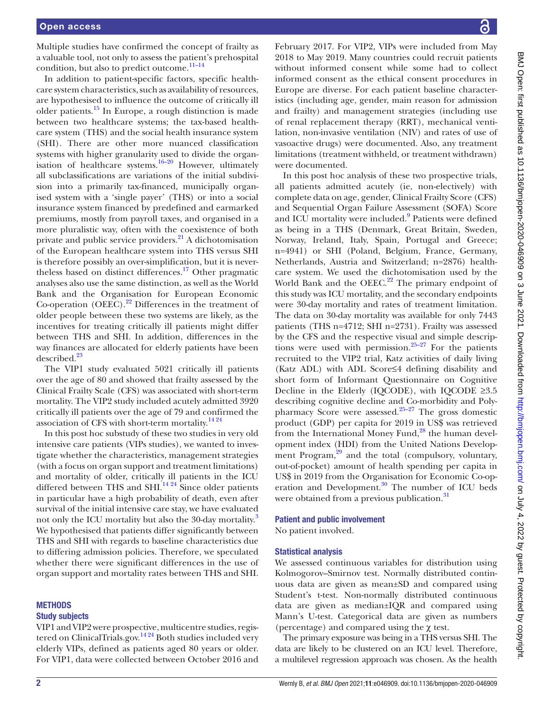Multiple studies have confirmed the concept of frailty as a valuable tool, not only to assess the patient's prehospital condition, but also to predict outcome. $11-14$ 

In addition to patient-specific factors, specific healthcare system characteristics, such as availability of resources, are hypothesised to influence the outcome of critically ill older patients[.15](#page-8-6) In Europe, a rough distinction is made between two healthcare systems; the tax-based healthcare system (THS) and the social health insurance system (SHI). There are other more nuanced classification systems with higher granularity used to divide the organisation of healthcare systems.<sup>16-20</sup> However, ultimately all subclassifications are variations of the initial subdivision into a primarily tax-financed, municipally organised system with a 'single payer' (THS) or into a social insurance system financed by predefined and earmarked premiums, mostly from payroll taxes, and organised in a more pluralistic way, often with the coexistence of both private and public service providers.<sup>[21](#page-8-8)</sup> A dichotomisation of the European healthcare system into THS versus SHI is therefore possibly an over-simplification, but it is nevertheless based on distinct differences.<sup>17</sup> Other pragmatic analyses also use the same distinction, as well as the World Bank and the Organisation for European Economic Co-operation (OEEC). $^{22}$  Differences in the treatment of older people between these two systems are likely, as the incentives for treating critically ill patients might differ between THS and SHI. In addition, differences in the way finances are allocated for elderly patients have been described.<sup>[23](#page-8-11)</sup>

The VIP1 study evaluated 5021 critically ill patients over the age of 80 and showed that frailty assessed by the Clinical Frailty Scale (CFS) was associated with short-term mortality. The VIP2 study included acutely admitted 3920 critically ill patients over the age of 79 and confirmed the association of CFS with short-term mortality.<sup>[14 24](#page-8-12)</sup>

In this post hoc substudy of these two studies in very old intensive care patients (VIPs studies), we wanted to investigate whether the characteristics, management strategies (with a focus on organ support and treatment limitations) and mortality of older, critically ill patients in the ICU differed between THS and SHI. $^{14,24}$  Since older patients in particular have a high probability of death, even after survival of the initial intensive care stay, we have evaluated not only the ICU mortality but also the [3](#page-8-13)0-day mortality.<sup>3</sup> We hypothesised that patients differ significantly between THS and SHI with regards to baseline characteristics due to differing admission policies. Therefore, we speculated whether there were significant differences in the use of organ support and mortality rates between THS and SHI.

#### **METHODS**

#### Study subjects

VIP1 and VIP2 were prospective, multicentre studies, registered on ClinicalTrials.gov.<sup>1424</sup> Both studies included very elderly VIPs, defined as patients aged 80 years or older. For VIP1, data were collected between October 2016 and

February 2017. For VIP2, VIPs were included from May 2018 to May 2019. Many countries could recruit patients without informed consent while some had to collect informed consent as the ethical consent procedures in Europe are diverse. For each patient baseline characteristics (including age, gender, main reason for admission and frailty) and management strategies (including use of renal replacement therapy (RRT), mechanical ventilation, non-invasive ventilation (NIV) and rates of use of vasoactive drugs) were documented. Also, any treatment limitations (treatment withheld, or treatment withdrawn) were documented.

In this post hoc analysis of these two prospective trials, all patients admitted acutely (ie, non-electively) with complete data on age, gender, Clinical Frailty Score (CFS) and Sequential Organ Failure Assessment (SOFA) Score and ICU mortality were included.<sup>[9](#page-8-14)</sup> Patients were defined as being in a THS (Denmark, Great Britain, Sweden, Norway, Ireland, Italy, Spain, Portugal and Greece; n=4941) or SHI (Poland, Belgium, France, Germany, Netherlands, Austria and Switzerland; n=2876) healthcare system. We used the dichotomisation used by the World Bank and the OEEC. $22$  The primary endpoint of this study was ICU mortality, and the secondary endpoints were 30-day mortality and rates of treatment limitation. The data on 30-day mortality was available for only 7443 patients (THS n=4712; SHI n=2731). Frailty was assessed by the CFS and the respective visual and simple descriptions were used with permission. $25-27$  For the patients recruited to the VIP2 trial, Katz activities of daily living (Katz ADL) with ADL Score≤4 defining disability and short form of Informant Questionnaire on Cognitive Decline in the Elderly (IQCODE), with IQCODE  $\geq 3.5$ describing cognitive decline and Co-morbidity and Polypharmacy Score were assessed.<sup>25–27</sup> The gross domestic product (GDP) per capita for 2019 in US\$ was retrieved from the International Money Fund, $^{28}$  the human development index (HDI) from the United Nations Development Program,<sup>29</sup> and the total (compulsory, voluntary, out-of-pocket) amount of health spending per capita in US\$ in 2019 from the Organisation for Economic Co-operation and Development.<sup>30</sup> The number of ICU beds were obtained from a previous publication.<sup>31</sup>

## Patient and public involvement

No patient involved.

#### Statistical analysis

We assessed continuous variables for distribution using Kolmogorov–Smirnov test. Normally distributed continuous data are given as mean±SD and compared using Student's t-test. Non-normally distributed continuous data are given as median±IQR and compared using Mann's U-test. Categorical data are given as numbers (percentage) and compared using the χ test.

The primary exposure was being in a THS versus SHI. The data are likely to be clustered on an ICU level. Therefore, a multilevel regression approach was chosen. As the health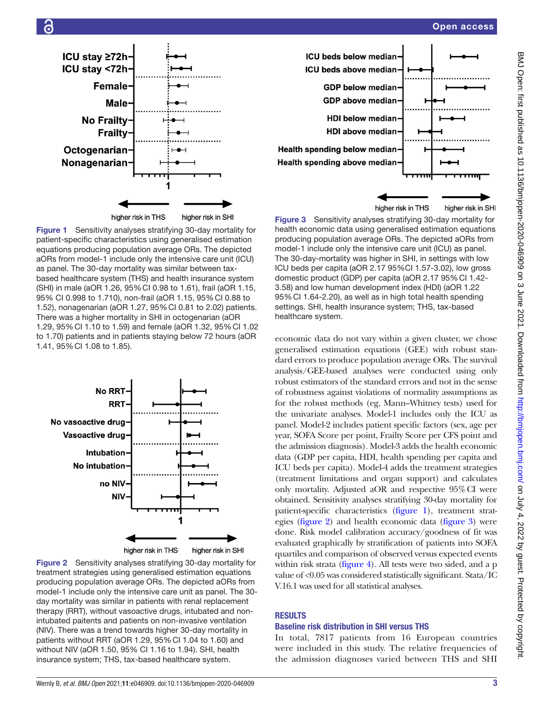



<span id="page-2-0"></span>Figure 1 Sensitivity analyses stratifying 30-day mortality for patient-specific characteristics using generalised estimation equations producing population average ORs. The depicted aORs from model-1 include only the intensive care unit (ICU) as panel. The 30-day mortality was similar between taxbased healthcare system (THS) and health insurance system (SHI) in male (aOR 1.26, 95%CI 0.98 to 1.61), frail (aOR 1.15, 95% CI 0.998 to 1.710), non-frail (aOR 1.15, 95%CI 0.88 to 1.52), nonagenarian (aOR 1.27, 95%CI 0.81 to 2.02) patients. There was a higher mortality in SHI in octogenarian (aOR 1.29, 95%CI 1.10 to 1.59) and female (aOR 1.32, 95%CI 1.02 to 1.70) patients and in patients staying below 72 hours (aOR 1.41, 95%CI 1.08 to 1.85).



<span id="page-2-1"></span>



<span id="page-2-2"></span>Figure 3 Sensitivity analyses stratifying 30-day mortality for health economic data using generalised estimation equations producing population average ORs. The depicted aORs from model-1 include only the intensive care unit (ICU) as panel. The 30-day-mortality was higher in SHI, in settings with low ICU beds per capita (aOR 2.17 95%CI 1.57-3.02), low gross domestic product (GDP) per capita (aOR 2.17 95% Cl 1.42-3.58) and low human development index (HDI) (aOR 1.22 95%CI 1.64-2.20), as well as in high total health spending settings. SHI, health insurance system; THS, tax-based

economic data do not vary within a given cluster, we chose generalised estimation equations (GEE) with robust standard errors to produce population average ORs. The survival analysis/GEE-based analyses were conducted using only robust estimators of the standard errors and not in the sense of robustness against violations of normality assumptions as for the robust methods (eg, Mann–Whitney tests) used for the univariate analyses. Model-1 includes only the ICU as panel. Model-2 includes patient specific factors (sex, age per year, SOFA Score per point, Frailty Score per CFS point and the admission diagnosis). Model-3 adds the health economic data (GDP per capita, HDI, health spending per capita and ICU beds per capita). Model-4 adds the treatment strategies (treatment limitations and organ support) and calculates only mortality. Adjusted aOR and respective 95%CI were obtained. Sensitivity analyses stratifying 30-day mortality for patient-specific characteristics [\(figure](#page-2-0) 1), treatment strategies [\(figure](#page-2-1) 2) and health economic data [\(figure](#page-2-2) 3) were done. Risk model calibration accuracy/goodness of fit was evaluated graphically by stratification of patients into SOFA quartiles and comparison of observed versus expected events within risk strata [\(figure](#page-3-0) 4). All tests were two sided, and a p value of <0.05 was considered statistically significant. Stata/IC V.16.1 was used for all statistical analyses.

## RESULTS

healthcare system.

## Baseline risk distribution in SHI versus THS

In total, 7817 patients from 16 European countries were included in this study. The relative frequencies of the admission diagnoses varied between THS and SHI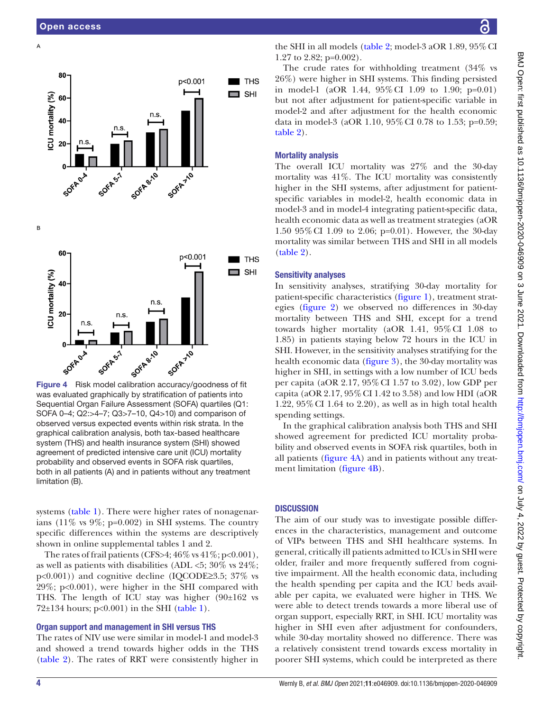$\Delta$ 



<span id="page-3-0"></span>was evaluated graphically by stratification of patients into Sequential Organ Failure Assessment (SOFA) quartiles (Q1: SOFA 0–4; Q2:>4–7; Q3>7–10, Q4>10) and comparison of observed versus expected events within risk strata. In the graphical calibration analysis, both tax-based healthcare system (THS) and health insurance system (SHI) showed agreement of predicted intensive care unit (ICU) mortality probability and observed events in SOFA risk quartiles, both in all patients (A) and in patients without any treatment limitation (B).

systems ([table](#page-4-0) 1). There were higher rates of nonagenarians (11% vs  $9\%$ ; p=0.002) in SHI systems. The country specific differences within the systems are descriptively shown in [online supplemental tables 1 and 2](https://dx.doi.org/10.1136/bmjopen-2020-046909).

The rates of frail patients (CFS>4;  $46\%$  vs  $41\%$ ; p<0.001), as well as patients with disabilities (ADL  $<5$ ; 30% vs 24%; p<0.001)) and cognitive decline (IQCODE≥3.5; 37% vs 29%; p<0.001), were higher in the SHI compared with THS. The length of ICU stay was higher (90±162 vs  $72\pm134$  hours; p<0.001) in the SHI [\(table](#page-4-0) 1).

## Organ support and management in SHI versus THS

The rates of NIV use were similar in model-1 and model-3 and showed a trend towards higher odds in the THS ([table](#page-5-0) 2). The rates of RRT were consistently higher in

the SHI in all models ([table](#page-5-0) 2; model-3 aOR 1.89,  $95\%$  CI 1.27 to 2.82; p=0.002).

The crude rates for withholding treatment (34% vs 26%) were higher in SHI systems. This finding persisted in model-1 (aOR 1.44, 95%CI 1.09 to 1.90; p=0.01) but not after adjustment for patient-specific variable in model-2 and after adjustment for the health economic data in model-3 (aOR 1.10, 95%CI 0.78 to 1.53; p=0.59; [table](#page-5-0) 2).

## Mortality analysis

The overall ICU mortality was 27% and the 30-day mortality was 41%. The ICU mortality was consistently higher in the SHI systems, after adjustment for patientspecific variables in model-2, health economic data in model-3 and in model-4 integrating patient-specific data, health economic data as well as treatment strategies (aOR 1.50 95%CI 1.09 to 2.06; p=0.01). However, the 30-day mortality was similar between THS and SHI in all models [\(table](#page-5-0) 2).

## Sensitivity analyses

In sensitivity analyses, stratifying 30-day mortality for patient-specific characteristics [\(figure](#page-2-0) 1), treatment strategies ([figure](#page-2-1) 2) we observed no differences in 30-day mortality between THS and SHI, except for a trend towards higher mortality (aOR 1.41, 95%CI 1.08 to 1.85) in patients staying below 72 hours in the ICU in SHI. However, in the sensitivity analyses stratifying for the health economic data [\(figure](#page-2-2) 3), the 30-day mortality was higher in SHI, in settings with a low number of ICU beds per capita (aOR 2.17, 95%CI 1.57 to 3.02), low GDP per capita (aOR 2.17, 95%CI 1.42 to 3.58) and low HDI (aOR 1.22, 95%CI 1.64 to 2.20), as well as in high total health spending settings.

In the graphical calibration analysis both THS and SHI showed agreement for predicted ICU mortality probability and observed events in SOFA risk quartiles, both in all patients ([figure](#page-3-0) 4A) and in patients without any treatment limitation ([figure](#page-3-0) 4B).

## **DISCUSSION**

The aim of our study was to investigate possible differences in the characteristics, management and outcome of VIPs between THS and SHI healthcare systems. In general, critically ill patients admitted to ICUs in SHI were older, frailer and more frequently suffered from cognitive impairment. All the health economic data, including the health spending per capita and the ICU beds available per capita, we evaluated were higher in THS. We were able to detect trends towards a more liberal use of organ support, especially RRT, in SHI. ICU mortality was higher in SHI even after adjustment for confounders, while 30-day mortality showed no difference. There was a relatively consistent trend towards excess mortality in poorer SHI systems, which could be interpreted as there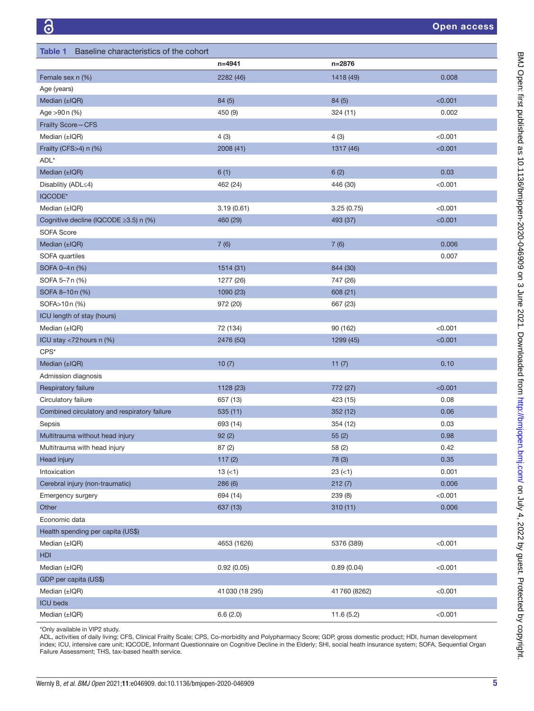<span id="page-4-0"></span>

| Baseline characteristics of the cohort<br><b>Table 1</b> |                 |                 |                  |
|----------------------------------------------------------|-----------------|-----------------|------------------|
|                                                          | n=4941          | n=2876          |                  |
| Female sex n (%)                                         | 2282 (46)       | 1418 (49)       | 0.008            |
| Age (years)                                              |                 |                 |                  |
| Median (±IQR)                                            | 84 (5)          | 84(5)           | < 0.001          |
| Age >90 n (%)                                            | 450 (9)         | 324(11)         | 0.002            |
| Frailty Score-CFS                                        |                 |                 |                  |
| Median (±IQR)                                            | 4(3)            | 4(3)            | < 0.001          |
| Frailty (CFS>4) n (%)                                    | 2008(41)        | 1317 (46)       | < 0.001          |
| ADL*                                                     |                 |                 |                  |
| Median (±IQR)                                            | 6(1)            | 6(2)            | 0.03             |
| Disablitiy (ADL≤4)                                       | 462 (24)        | 446 (30)        | < 0.001          |
| IQCODE*                                                  |                 |                 |                  |
| Median $(\pm$ IQR)                                       | 3.19(0.61)      | 3.25(0.75)      | < 0.001          |
| Cognitive decline (IQCODE ≥3.5) n (%)                    | 460 (29)        | 493 (37)        | < 0.001          |
| <b>SOFA Score</b>                                        |                 |                 |                  |
| Median (±IQR)                                            | 7(6)            | 7(6)            | 0.006            |
| SOFA quartiles                                           |                 |                 | 0.007            |
| SOFA 0-4 n (%)                                           | 1514 (31)       | 844 (30)        |                  |
| SOFA 5-7 n (%)                                           | 1277 (26)       | 747 (26)        |                  |
| SOFA 8-10n (%)                                           | 1090 (23)       | 608 (21)        |                  |
| SOFA>10n (%)                                             | 972 (20)        | 667 (23)        |                  |
| ICU length of stay (hours)                               |                 |                 |                  |
| Median (±IQR)                                            | 72 (134)        | 90 (162)        | < 0.001          |
| ICU stay <72 hours n (%)                                 | 2476 (50)       | 1299 (45)       | < 0.001          |
| $CPS^*$                                                  |                 |                 |                  |
| Median (±IQR)                                            | 10(7)           | 11(7)           | 0.10             |
| Admission diagnosis                                      |                 |                 |                  |
| Respiratory failure                                      | 1128 (23)       | 772 (27)        | < 0.001          |
| Circulatory failure                                      | 657 (13)        | 423 (15)        | 0.08             |
| Combined circulatory and respiratory failure             | 535(11)         | 352(12)         | 0.06             |
| Sepsis                                                   | 693 (14)        | 354 (12)        | 0.03             |
| Multitrauma without head injury                          |                 |                 | 0.98             |
| Multitrauma with head injury                             | 92(2)<br>87 (2) | 55(2)<br>58 (2) | 0.42             |
| Head injury                                              | 117(2)          | 78 (3)          | 0.35             |
| Intoxication                                             | $13 (=1)$       | $23 (=1)$       | 0.001            |
| Cerebral injury (non-traumatic)                          |                 |                 |                  |
|                                                          | 286(6)          | 212(7)          | 0.006<br>< 0.001 |
| Emergency surgery                                        | 694 (14)        | 239 (8)         |                  |
| Other                                                    | 637 (13)        | 310(11)         | 0.006            |
| Economic data                                            |                 |                 |                  |
| Health spending per capita (US\$)                        |                 |                 |                  |
| Median (±IQR)                                            | 4653 (1626)     | 5376 (389)      | < 0.001          |
| <b>HDI</b>                                               |                 |                 |                  |
| Median $(\pm$ IQR)                                       | 0.92(0.05)      | 0.89(0.04)      | < 0.001          |
| GDP per capita (US\$)                                    |                 |                 |                  |
| Median (±IQR)                                            | 41 030 (18 295) | 41760 (8262)    | < 0.001          |
| <b>ICU</b> beds                                          |                 |                 |                  |
| Median (±IQR)                                            | 6.6(2.0)        | 11.6(5.2)       | < 0.001          |

\*Only available in VIP2 study.

ADL, activities of daily living; CFS, Clinical Frailty Scale; CPS, Co-morbidity and Polypharmacy Score; GDP, gross domestic product; HDI, human development index; ICU, intensive care unit; IQCODE, Informant Questionnaire on Cognitive Decline in the Elderly; SHI, social heath insurance system; SOFA, Sequential Organ Failure Assessment; THS, tax-based health service.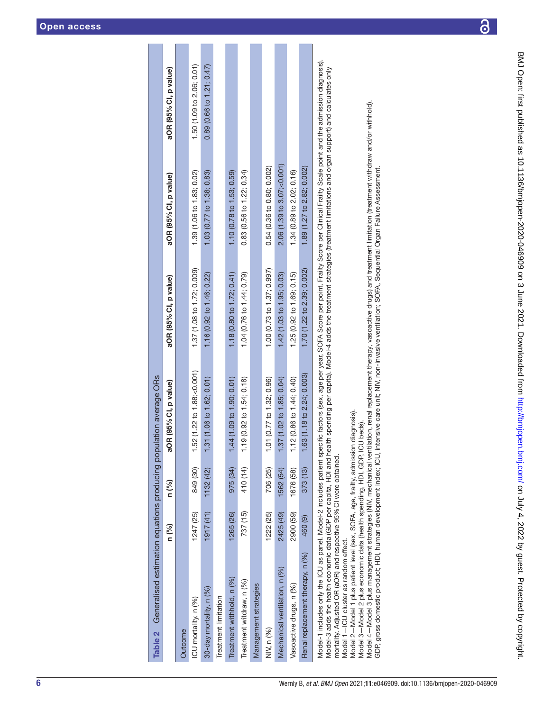| Table 2 Generalised estimation equations producing population average ORs                                                                                                                                |            |           |                            |                            |                                       |                           |
|----------------------------------------------------------------------------------------------------------------------------------------------------------------------------------------------------------|------------|-----------|----------------------------|----------------------------|---------------------------------------|---------------------------|
|                                                                                                                                                                                                          | n (%)      | n (%)     | aOR (95% CI, p value)      | aOR (95% CI, p value)      | aOR (95% CI, p value)                 | aOR (95% CI, p value)     |
| Outcome                                                                                                                                                                                                  |            |           |                            |                            |                                       |                           |
| ICU mortality, n (%)                                                                                                                                                                                     | 1247 (25)  | 849 (30)  | 1.52 (1.22 to 1.88;<0.001) | 1.37 (1.08 to 1.72; 0.009) | 1.39 (1.06 to 1.83; 0.02)             | 1.50 (1.09 to 2.06; 0.01) |
| 30-day mortality, n (%)                                                                                                                                                                                  | (1917(41)) | 1132 (42) | 1.31(1.06 to 1.62; 0.01)   | 1.16 (0.92 to 1.46; 0.22)  | 1.03 (0.77 to 1.38; 0.83)             | 0.89(0.66 to 1.21; 0.47)  |
| Treatment limitation                                                                                                                                                                                     |            |           |                            |                            |                                       |                           |
| Treatment withhold, n (%)                                                                                                                                                                                | 1265 (26)  | 975 (34)  | 1.44 (1.09 to 1.90; 0.01)  | 1.18 (0.80 to 1.72; 0.41)  | 1.10 (0.78 to 1.53; 0.59)             |                           |
| Treatment witdraw, n (%)                                                                                                                                                                                 | 737 (15)   | 410 (14)  | 1.19 (0.92 to 1.54; 0.18)  | 1.04 (0.76 to 1.44; 0.79)  | 0.83 (0.56 to 1.22; 0.34)             |                           |
| Management strategies                                                                                                                                                                                    |            |           |                            |                            |                                       |                           |
| NIV, n (%)                                                                                                                                                                                               | 1222 (25)  | 706 (25)  | 1.01 (0.77 to 1.32; 0.96)  | 1.00 (0.73 to 1.37; 0.997) | 0.54 (0.36 to 0.80; 0.002)            |                           |
| Mechanical ventilation, n (%)                                                                                                                                                                            | 2425 (49)  | 562 (54)  | 1.37 (1.02 to 1.85; 0.04)  | 1.42 (1.03 to 1.95; 0.03)  | 2.06(1.39 to 3.07, <sub>0.001</sub> ) |                           |
| Vasoactive drugs, n (%)                                                                                                                                                                                  | 2900 (59)  | 1676 (58) | 1.12 (0.86 to 1.44; 0.40)  | 1.25 (0.92 to 1.69; 0.15)  | 1.34 (0.89 to 2.02; 0.16)             |                           |
| Renal replacement therapy, n (%)                                                                                                                                                                         | 460 (9)    | 373(13)   | 1.63 (1.18 to 2.24; 0.003) | 1.70 (1.22 to 2.39; 0.002) | 1.89 (1.27 to 2.82; 0.002)            |                           |
| Model-1 includes only the ICU as panel. Model-2 includes patient specific factors (sex, age per year, SOFA Score per point, Frailty Score per Clinical Frailty Scale point and the admission diagnosis). |            |           |                            |                            |                                       |                           |

Model-3 adds the health economic data (GDP per capita, HDI and health spending per capita). Model-4 adds the treatment strategies (treatment limitations and organ support) and calculates only Model-3 adds the health economic data (GDP per capita, HDI and health spending per capita). Model-4 adds the treatment strategies (treatment limitations and organ support) and calculates only mortality. Adjusted OR (aOR) and respective 95% CI were obtained. mortality. Adjusted OR (aOR) and respective 95%CI were obtained.

<span id="page-5-0"></span>Model 1-ICU cluster as random effect. Model 1—ICU cluster as random effect.

Model 2—Model 1 plus patient level (sex, SOFA, age, frailty, admission diagnosis).

Model 2 – Model 1 plus patient level (sex, SOFA, age, frailty, admission diagnosis).<br>Model 3 – Model 2 plus economic data (health spending, HDI, GDF, ICU beds). Model 3—Model 2 plus economic data (health spending, HDI, GDP, ICU beds).

Model 4 – Model 3 plus management strategies (NIV, mechanical ventilation, renal replacement therapy, vasoactive drugs) and treatment limitation (treatment withdraw and/or withhold).<br>GDP, gross domestic product; HDI, human Model 4—Model 3 plus management strategies (NIV, mechanical ventilation, renal replacement therapy, vasoactive drugs) and treatment limitation (treatment withdraw and/or withhold). GDP, gross domestic product; HDI, human development index; ICU, intensive care unit; NIV, non-invasive ventilation; SOFA, Sequential Organ Failure Assessment.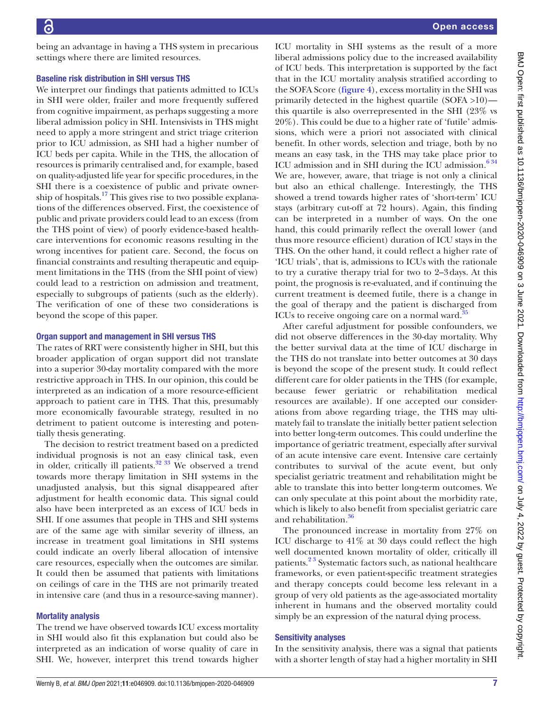being an advantage in having a THS system in precarious settings where there are limited resources.

#### Baseline risk distribution in SHI versus THS

We interpret our findings that patients admitted to ICUs in SHI were older, frailer and more frequently suffered from cognitive impairment, as perhaps suggesting a more liberal admission policy in SHI. Intensivists in THS might need to apply a more stringent and strict triage criterion prior to ICU admission, as SHI had a higher number of ICU beds per capita. While in the THS, the allocation of resources is primarily centralised and, for example, based on quality-adjusted life year for specific procedures, in the SHI there is a coexistence of public and private ownership of hospitals.<sup>17</sup> This gives rise to two possible explanations of the differences observed. First, the coexistence of public and private providers could lead to an excess (from the THS point of view) of poorly evidence-based healthcare interventions for economic reasons resulting in the wrong incentives for patient care. Second, the focus on financial constraints and resulting therapeutic and equipment limitations in the THS (from the SHI point of view) could lead to a restriction on admission and treatment, especially to subgroups of patients (such as the elderly). The verification of one of these two considerations is beyond the scope of this paper.

#### Organ support and management in SHI versus THS

The rates of RRT were consistently higher in SHI, but this broader application of organ support did not translate into a superior 30-day mortality compared with the more restrictive approach in THS. In our opinion, this could be interpreted as an indication of a more resource-efficient approach to patient care in THS. That this, presumably more economically favourable strategy, resulted in no detriment to patient outcome is interesting and potentially thesis generating.

The decision to restrict treatment based on a predicted individual prognosis is not an easy clinical task, even in older, critically ill patients. $32 \frac{33}{10}$  We observed a trend towards more therapy limitation in SHI systems in the unadjusted analysis, but this signal disappeared after adjustment for health economic data. This signal could also have been interpreted as an excess of ICU beds in SHI. If one assumes that people in THS and SHI systems are of the same age with similar severity of illness, an increase in treatment goal limitations in SHI systems could indicate an overly liberal allocation of intensive care resources, especially when the outcomes are similar. It could then be assumed that patients with limitations on ceilings of care in the THS are not primarily treated in intensive care (and thus in a resource-saving manner).

## Mortality analysis

The trend we have observed towards ICU excess mortality in SHI would also fit this explanation but could also be interpreted as an indication of worse quality of care in SHI. We, however, interpret this trend towards higher

ICU mortality in SHI systems as the result of a more liberal admissions policy due to the increased availability of ICU beds. This interpretation is supported by the fact that in the ICU mortality analysis stratified according to the SOFA Score [\(figure](#page-3-0) 4), excess mortality in the SHI was primarily detected in the highest quartile (SOFA >10) this quartile is also overrepresented in the SHI (23% vs 20%). This could be due to a higher rate of 'futile' admissions, which were a priori not associated with clinical benefit. In other words, selection and triage, both by no means an easy task, in the THS may take place prior to ICU admission and in SHI during the ICU admission. $6\frac{34}{3}$ We are, however, aware, that triage is not only a clinical but also an ethical challenge. Interestingly, the THS showed a trend towards higher rates of 'short-term' ICU stays (arbitrary cut-off at 72 hours). Again, this finding can be interpreted in a number of ways. On the one hand, this could primarily reflect the overall lower (and thus more resource efficient) duration of ICU stays in the THS. On the other hand, it could reflect a higher rate of 'ICU trials', that is, admissions to ICUs with the rationale to try a curative therapy trial for two to 2–3days. At this point, the prognosis is re-evaluated, and if continuing the current treatment is deemed futile, there is a change in the goal of therapy and the patient is discharged from ICUs to receive ongoing care on a normal ward.<sup>35</sup>

After careful adjustment for possible confounders, we did not observe differences in the 30-day mortality. Why the better survival data at the time of ICU discharge in the THS do not translate into better outcomes at 30 days is beyond the scope of the present study. It could reflect different care for older patients in the THS (for example, because fewer geriatric or rehabilitation medical resources are available). If one accepted our considerations from above regarding triage, the THS may ultimately fail to translate the initially better patient selection into better long-term outcomes. This could underline the importance of geriatric treatment, especially after survival of an acute intensive care event. Intensive care certainly contributes to survival of the acute event, but only specialist geriatric treatment and rehabilitation might be able to translate this into better long-term outcomes. We can only speculate at this point about the morbidity rate, which is likely to also benefit from specialist geriatric care and rehabilitation.<sup>36</sup>

The pronounced increase in mortality from 27% on ICU discharge to 41% at 30 days could reflect the high well documented known mortality of older, critically ill patients.<sup>23</sup> Systematic factors such, as national healthcare frameworks, or even patient-specific treatment strategies and therapy concepts could become less relevant in a group of very old patients as the age-associated mortality inherent in humans and the observed mortality could simply be an expression of the natural dying process.

## Sensitivity analyses

In the sensitivity analysis, there was a signal that patients with a shorter length of stay had a higher mortality in SHI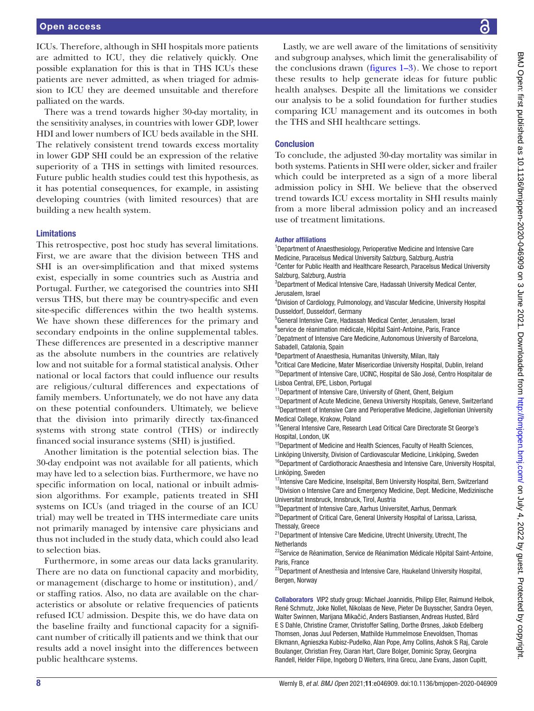ICUs. Therefore, although in SHI hospitals more patients are admitted to ICU, they die relatively quickly. One possible explanation for this is that in THS ICUs these patients are never admitted, as when triaged for admission to ICU they are deemed unsuitable and therefore palliated on the wards.

There was a trend towards higher 30-day mortality, in the sensitivity analyses, in countries with lower GDP, lower HDI and lower numbers of ICU beds available in the SHI. The relatively consistent trend towards excess mortality in lower GDP SHI could be an expression of the relative superiority of a THS in settings with limited resources. Future public health studies could test this hypothesis, as it has potential consequences, for example, in assisting developing countries (with limited resources) that are building a new health system.

#### Limitations

This retrospective, post hoc study has several limitations. First, we are aware that the division between THS and SHI is an over-simplification and that mixed systems exist, especially in some countries such as Austria and Portugal. Further, we categorised the countries into SHI versus THS, but there may be country-specific and even site-specific differences within the two health systems. We have shown these differences for the primary and secondary endpoints in the [online supplemental tables.](https://dx.doi.org/10.1136/bmjopen-2020-046909) These differences are presented in a descriptive manner as the absolute numbers in the countries are relatively low and not suitable for a formal statistical analysis. Other national or local factors that could influence our results are religious/cultural differences and expectations of family members. Unfortunately, we do not have any data on these potential confounders. Ultimately, we believe that the division into primarily directly tax-financed systems with strong state control (THS) or indirectly financed social insurance systems (SHI) is justified.

Another limitation is the potential selection bias. The 30-day endpoint was not available for all patients, which may have led to a selection bias. Furthermore, we have no specific information on local, national or inbuilt admission algorithms. For example, patients treated in SHI systems on ICUs (and triaged in the course of an ICU trial) may well be treated in THS intermediate care units not primarily managed by intensive care physicians and thus not included in the study data, which could also lead to selection bias.

Furthermore, in some areas our data lacks granularity. There are no data on functional capacity and morbidity, or management (discharge to home or institution), and/ or staffing ratios. Also, no data are available on the characteristics or absolute or relative frequencies of patients refused ICU admission. Despite this, we do have data on the baseline frailty and functional capacity for a significant number of critically ill patients and we think that our results add a novel insight into the differences between public healthcare systems.

Lastly, we are well aware of the limitations of sensitivity and subgroup analyses, which limit the generalisability of the conclusions drawn ([figures](#page-2-0) 1–3). We chose to report these results to help generate ideas for future public health analyses. Despite all the limitations we consider our analysis to be a solid foundation for further studies comparing ICU management and its outcomes in both the THS and SHI healthcare settings.

#### **Conclusion**

To conclude, the adjusted 30-day mortality was similar in both systems. Patients in SHI were older, sicker and frailer which could be interpreted as a sign of a more liberal admission policy in SHI. We believe that the observed trend towards ICU excess mortality in SHI results mainly from a more liberal admission policy and an increased use of treatment limitations.

#### Author affiliations

<sup>1</sup>Department of Anaesthesiology, Perioperative Medicine and Intensive Care Medicine, Paracelsus Medical University Salzburg, Salzburg, Austria <sup>2</sup> Center for Public Health and Healthcare Research, Paracelsus Medical University

Salzburg, Salzburg, Austria 3 Department of Medical Intensive Care, Hadassah University Medical Center, Jerusalem, Israel

4 Division of Cardiology, Pulmonology, and Vascular Medicine, University Hospital Dusseldorf, Dusseldorf, Germany

5 General Intensive Care, Hadassah Medical Center, Jerusalem, Israel

<sup>6</sup>service de réanimation médicale, Hôpital Saint-Antoine, Paris, France <sup>7</sup>Depatment of Intensive Care Medicine, Autonomous University of Barcelona, Sabadell, Catalonia, Spain

8 Department of Anaesthesia, Humanitas University, Milan, Italy

<sup>9</sup> Critical Care Medicine, Mater Misericordiae University Hospital, Dublin, Ireland <sup>10</sup>Department of Intensive Care, UCINC, Hospital de São José, Centro Hospitalar de Lisboa Central, EPE, Lisbon, Portugal

<sup>11</sup>Department of Intensive Care, University of Ghent, Ghent, Belgium

<sup>12</sup>Department of Acute Medicine, Geneva University Hospitals, Geneve, Switzerland <sup>13</sup>Department of Intensive Care and Perioperative Medicine, Jagiellonian University Medical College, Krakow, Poland

<sup>14</sup>General Intensive Care, Research Lead Critical Care Directorate St George's Hospital, London, UK

<sup>15</sup>Department of Medicine and Health Sciences, Faculty of Health Sciences, Linköping University, Division of Cardiovascular Medicine, Linköping, Sweden <sup>16</sup>Department of Cardiothoracic Anaesthesia and Intensive Care, University Hospital, Linköping, Sweden

<sup>17</sup>Intensive Care Medicine, Inselspital, Bern University Hospital, Bern, Switzerland <sup>18</sup>Division o Intensive Care and Emergency Medicine, Dept. Medicine, Medizinische Universitat Innsbruck, Innsbruck, Tirol, Austria

<sup>19</sup>Department of Intensive Care, Aarhus Universitet, Aarhus, Denmark

<sup>20</sup>Department of Critical Care, General University Hospital of Larissa, Larissa, Thessaly, Greece

21Department of Intensive Care Medicine, Utrecht University, Utrecht, The **Netherlands** 

<sup>22</sup>Service de Réanimation, Service de Réanimation Médicale Hôpital Saint-Antoine, Paris, France

<sup>23</sup>Department of Anesthesia and Intensive Care, Haukeland University Hospital, Bergen, Norway

Collaborators VIP2 study group: Michael Joannidis, Philipp Eller, Raimund Helbok, René Schmutz, Joke Nollet, Nikolaas de Neve, Pieter De Buysscher, Sandra Oeyen, Walter Swinnen, Marijana Mikačić, Anders Bastiansen, Andreas Husted, Bård E S Dahle, Christine Cramer, Christoffer Sølling, Dorthe Ørsnes, Jakob Edelberg Thomsen, Jonas Juul Pedersen, Mathilde Hummelmose Enevoldsen, Thomas Elkmann, Agnieszka Kubisz-Pudelko, Alan Pope, Amy Collins, Ashok S Raj, Carole Boulanger, Christian Frey, Ciaran Hart, Clare Bolger, Dominic Spray, Georgina Randell, Helder Filipe, Ingeborg D Welters, Irina Grecu, Jane Evans, Jason Cupitt,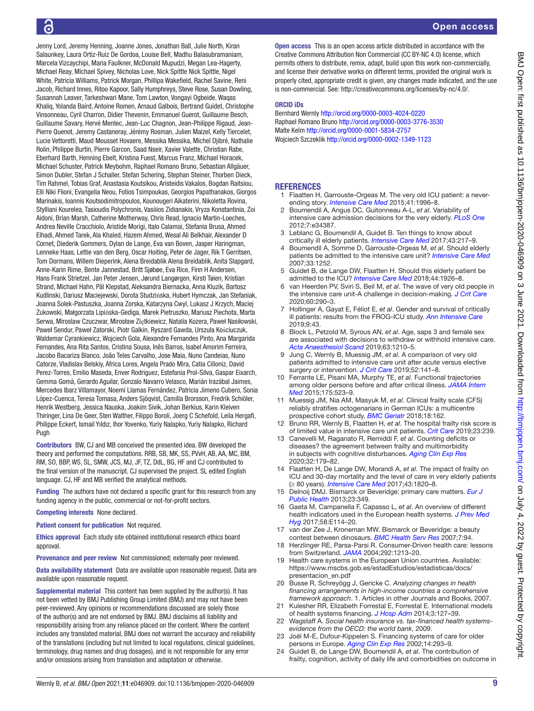## ັດ

Jenny Lord, Jeremy Henning, Joanne Jones, Jonathan Ball, Julie North, Kiran Salaunkey, Laura Ortiz-Ruiz De Gordoa, Louise Bell, Madhu Balasubramaniam, Marcela Vizcaychipi, Maria Faulkner, McDonald Mupudzi, Megan Lea-Hagerty, Michael Reay, Michael Spivey, Nicholas Love, Nick Spittle Nick Spittle, Nigel White, Patricia Williams, Patrick Morgan, Phillipa Wakefield, Rachel Savine, Reni Jacob, Richard Innes, Ritoo Kapoor, Sally Humphreys, Steve Rose, Susan Dowling, Susannah Leaver, Tarkeshwari Mane, Tom Lawton, Vongayi Ogbeide, Waqas Khaliq, Yolanda Baird, Antoine Romen, Arnaud Galbois, Bertrand Guidet, Christophe Vinsonneau, Cyril Charron, Didier Thevenin, Emmanuel Guerot, Guillaume Besch, Guillaume Savary, Hervé Mentec, Jean-Luc Chagnon, Jean-Philippe Rigaud, Jean-Pierre Quenot, Jeremy Castaneray, Jérémy Rosman, Julien Maizel, Kelly Tiercelet, Lucie Vettoretti, Maud Mousset Hovaere, Messika Messika, Michel Djibré, Nathalie Rolin, Philippe Burtin, Pierre Garcon, Saad Nseir, Xavier Valette, Christian Rabe, Eberhard Barth, Henning Ebelt, Kristina Fuest, Marcus Franz, Michael Horacek, Michael Schuster, Patrick Meybohm, Raphael Romano Bruno, Sebastian Allgäuer, Simon Dubler, Stefan J Schaller, Stefan Schering, Stephan Steiner, Thorben Dieck, Tim Rahmel, Tobias Graf, Anastasia Koutsikou, Aristeidis Vakalos, Bogdan Raitsiou, Elli Niki Flioni, Evangelia Neou, Fotios Tsimpoukas, Georgios Papathanakos, Giorgos Marinakis, Ioannis Koutsodimitropoulos, Kounougeri Aikaterini, Nikoletta Rovina, Stylliani Kourelea, Tasioudis Polychronis, Vasiiios Zidianakis, Vryza Konstantinia, Zoi Aidoni, Brian Marsh, Catherine Motherway, Chris Read, Ignacio Martin-Loeches, Andrea Neville Cracchiolo, Aristide Morigi, Italo Calamai, Stefania Brusa, Ahmed Elhadi, Ahmed Tarek, Ala Khaled, Hazem Ahmed, Wesal Ali Belkhair, Alexander D Cornet, Diederik Gommers, Dylan de Lange, Eva van Boven, Jasper Haringman, Lenneke Haas, Lettie van den Berg, Oscar Hoiting, Peter de Jager, Rik T Gerritsen, Tom Dormans, Willem Dieperink, Alena Breidablik Alena Breidablik, Anita Slapgard, Anne-Karin Rime, Bente Jannestad, Britt Sjøbøe, Eva Rice, Finn H Andersen, Hans Frank Strietzel, Jan Peter Jensen, Jørund Langørgen, Kirsti Tøien, Kristian Strand, Michael Hahn, Pål Klepstad, Aleksandra Biernacka, Anna Kluzik, Bartosz Kudlinski, Dariusz Maciejewski, Dorota Studzińska, Hubert Hymczak, Jan Stefaniak, Joanna Solek-Pastuszka, Joanna Zorska, Katarzyna Cwyl, Lukasz J Krzych, Maciej Zukowski, Małgorzata Lipińska-Gediga, Marek Pietruszko, Mariusz Piechota, Marta Serwa, Miroslaw Czuczwar, Mirosław Ziętkiewicz, Natalia Kozera, Paweł Nasiłowski, Paweł Sendur, Paweł Zatorski, Piotr Galkin, Ryszard Gawda, Urszula Kościuczuk, Waldemar Cyrankiewicz, Wojciech Gola, Alexandre Fernandes Pinto, Ana Margarida Fernandes, Ana Rita Santos, Cristina Sousa, Inês Barros, Isabel Amorim Ferreira, Jacobo Bacariza Blanco, João Teles Carvalho, Jose Maia, Nuno Candeias, Nuno Catorze, Vladislav Belskiy, Africa Lores, Angela Prado Mira, Catia Cilloniz, David Perez-Torres, Emilio Maseda, Enver Rodriguez, Estefania Prol-Silva, Gaspar Eixarch, Gemma Gomà, Gerardo Aguilar, Gonzalo Navarro Velasco, Marián Irazábal Jaimes, Mercedes Ibarz Villamayor, Noemí Llamas Fernández, Patricia Jimeno Cubero, Sonia López-Cuenca, Teresa Tomasa, Anders Sjöqvist, Camilla Brorsson, Fredrik Schiöler, Henrik Westberg, Jessica Nauska, Joakim Sivik, Johan Berkius, Karin Kleiven Thiringer, Lina De Geer, Sten Walther, Filippo Boroli, Joerg C Schefold, Leila Hergafi, Philippe Eckert, Ismail Yıldız, Ihor Yovenko, Yuriy Nalapko, Yuriy Nalapko, Richard Pugh

Contributors BW, CJ and MB conceived the presented idea. BW developed the theory and performed the computations. RRB, SB, MK, SS, PVvH, AB, AA, MC, BM, RM, SO, BBP, WS, SL, SMW, JCS, MJ, JF, TZ, DdL, BG, HF and CJ contributed to the final version of the manuscript. CJ supervised the project. SL edited English language. CJ, HF and MB verified the analytical methods.

Funding The authors have not declared a specific grant for this research from any funding agency in the public, commercial or not-for-profit sectors.

Competing interests None declared.

Patient consent for publication Not required.

Ethics approval Each study site obtained institutional research ethics board approval.

Provenance and peer review Not commissioned; externally peer reviewed.

Data availability statement Data are available upon reasonable request. Data are available upon reasonable request.

Supplemental material This content has been supplied by the author(s). It has not been vetted by BMJ Publishing Group Limited (BMJ) and may not have been peer-reviewed. Any opinions or recommendations discussed are solely those of the author(s) and are not endorsed by BMJ. BMJ disclaims all liability and responsibility arising from any reliance placed on the content. Where the content includes any translated material, BMJ does not warrant the accuracy and reliability of the translations (including but not limited to local regulations, clinical guidelines, terminology, drug names and drug dosages), and is not responsible for any error and/or omissions arising from translation and adaptation or otherwise.

**Open access** This is an open access article distributed in accordance with the Creative Commons Attribution Non Commercial (CC BY-NC 4.0) license, which permits others to distribute, remix, adapt, build upon this work non-commercially, and license their derivative works on different terms, provided the original work is properly cited, appropriate credit is given, any changes made indicated, and the use is non-commercial. See: [http://creativecommons.org/licenses/by-nc/4.0/.](http://creativecommons.org/licenses/by-nc/4.0/)

#### ORCID iDs

Bernhard Wernly <http://orcid.org/0000-0003-4024-0220> Raphael Romano Bruno<http://orcid.org/0000-0003-3776-3530> Malte Kelm<http://orcid.org/0000-0001-5834-2757> Wojciech Szczeklik <http://orcid.org/0000-0002-1349-1123>

#### <span id="page-8-0"></span>**REFERENCES**

- 1 Flaatten H, Garrouste-Orgeas M. The very old ICU patient: a neverending story. *[Intensive Care Med](http://dx.doi.org/10.1007/s00134-015-4052-2)* 2015;41:1996–8.
- <span id="page-8-1"></span>2 Boumendil A, Angus DC, Guitonneau A-L, *et al*. Variability of intensive care admission decisions for the very elderly. *[PLoS One](http://dx.doi.org/10.1371/journal.pone.0034387)* 2012;7:e34387.
- <span id="page-8-13"></span>3 Leblanc G, Boumendil A, Guidet B. Ten things to know about critically ill elderly patients. *[Intensive Care Med](http://dx.doi.org/10.1007/s00134-016-4477-2)* 2017;43:217–9.
- <span id="page-8-2"></span>4 Boumendil A, Somme D, Garrouste-Orgeas M, *et al*. Should elderly patients be admitted to the intensive care unit? *[Intensive Care Med](http://dx.doi.org/10.1007/s00134-007-0621-3)* 2007;33:1252.
- 5 Guidet B, de Lange DW, Flaatten H. Should this elderly patient be admitted to the ICU? *[Intensive Care Med](http://dx.doi.org/10.1007/s00134-018-5054-7)* 2018;44:1926–8.
- <span id="page-8-15"></span>6 van Heerden PV, Sviri S, Beil M, *et al*. The wave of very old people in the intensive care unit-A challenge in decision-making. *[J Crit Care](http://dx.doi.org/10.1016/j.jcrc.2020.08.030)* 2020;60:290–3.
- <span id="page-8-3"></span>7 Hollinger A, Gayat E, Féliot E, *et al*. Gender and survival of critically ill patients: results from the FROG-ICU study. *[Ann Intensive Care](http://dx.doi.org/10.1186/s13613-019-0514-y)* 2019;9:43.
- 8 Block L, Petzold M, Syrous AN, *et al*. Age, saps 3 and female sex are associated with decisions to withdraw or withhold intensive care. *[Acta Anaesthesiol Scand](http://dx.doi.org/10.1111/aas.13411)* 2019;63:1210–5.
- <span id="page-8-14"></span>9 Jung C, Wernly B, Muessig JM, *et al*. A comparison of very old patients admitted to intensive care unit after acute versus elective surgery or intervention. *[J Crit Care](http://dx.doi.org/10.1016/j.jcrc.2019.04.020)* 2019;52:141–8.
- <span id="page-8-4"></span>10 Ferrante LE, Pisani MA, Murphy TE, *et al*. Functional trajectories among older persons before and after critical illness. *[JAMA Intern](http://dx.doi.org/10.1001/jamainternmed.2014.7889)  [Med](http://dx.doi.org/10.1001/jamainternmed.2014.7889)* 2015;175:523–9.
- <span id="page-8-5"></span>11 Muessig JM, Nia AM, Masyuk M, *et al*. Clinical frailty scale (CFS) reliably stratifies octogenarians in German ICUs: a multicentre prospective cohort study. *[BMC Geriatr](http://dx.doi.org/10.1186/s12877-018-0847-7)* 2018;18:162.
- 12 Bruno RR, Wernly B, Flaatten H, *et al*. The hospital frailty risk score is of limited value in intensive care unit patients. *[Crit Care](http://dx.doi.org/10.1186/s13054-019-2520-8)* 2019;23:239.
- 13 Canevelli M, Raganato R, Remiddi F, *et al*. Counting deficits or diseases? the agreement between frailty and multimorbidity in subjects with cognitive disturbances. *[Aging Clin Exp Res](http://dx.doi.org/10.1007/s40520-019-01161-2)* 2020;32:179–82.
- <span id="page-8-12"></span>14 Flaatten H, De Lange DW, Morandi A, *et al*. The impact of frailty on ICU and 30-day mortality and the level of care in very elderly patients (≥ 80 years). *[Intensive Care Med](http://dx.doi.org/10.1007/s00134-017-4940-8)* 2017;43:1820–8.
- <span id="page-8-6"></span>15 Delnoij DMJ. Bismarck or Beveridge: primary care matters. *[Eur J](http://dx.doi.org/10.1093/eurpub/ckt021)  [Public Health](http://dx.doi.org/10.1093/eurpub/ckt021)* 2013;23:349.
- <span id="page-8-7"></span>16 Gaeta M, Campanella F, Capasso L, *et al*. An overview of different health indicators used in the European health systems. *[J Prev Med](http://www.ncbi.nlm.nih.gov/pubmed/28900351)  [Hyg](http://www.ncbi.nlm.nih.gov/pubmed/28900351)* 2017;58:E114–20.
- <span id="page-8-9"></span>17 van der Zee J, Kroneman MW. Bismarck or Beveridge: a beauty contest between dinosaurs. *[BMC Health Serv Res](http://dx.doi.org/10.1186/1472-6963-7-94)* 2007;7:94.
- 18 Herzlinger RE, Parsa-Parsi R. Consumer-Driven health care: lessons from Switzerland. *[JAMA](http://dx.doi.org/10.1001/jama.292.10.1213)* 2004;292:1213–20.
- 19 Health care systems in the European Union countries. Available: [https://www.mscbs.gob.es/estadEstudios/estadisticas/docs/](https://www.mscbs.gob.es/estadEstudios/estadisticas/docs/presentacion_en.pdf) [presentacion\\_en.pdf](https://www.mscbs.gob.es/estadEstudios/estadisticas/docs/presentacion_en.pdf)
- 20 Busse R, Schreyögg J, Gericke C. *Analyzing changes in health financing arrangements in high-income countries a comprehensive framework approach*. 1. Articles in other Journals and Books, 2007.
- <span id="page-8-8"></span>21 Kulesher RR, Elizabeth Forrestal E, Forrestal E. International models of health systems financing. *[J Hosp Adm](http://dx.doi.org/10.5430/jha.v3n4p127)* 2014;3:127–39.
- <span id="page-8-10"></span>22 Wagstaff A. *Social health insurance vs. tax-financed health systemsevidence from the OECD: the world bank*, 2009.
- <span id="page-8-11"></span>23 Joël M-E, Dufour-Kippelen S. Financing systems of care for older persons in Europe. *[Aging Clin Exp Res](http://dx.doi.org/10.1007/BF03324453)* 2002;14:293–9.
- 24 Guidet B, de Lange DW, Boumendil A, *et al*. The contribution of frailty, cognition, activity of daily life and comorbidities on outcome in